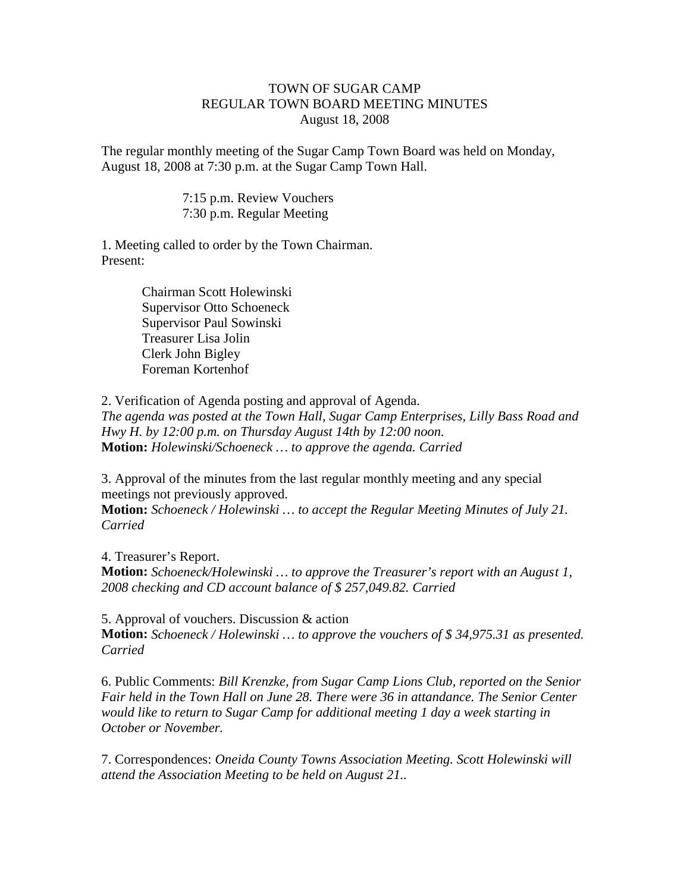## TOWN OF SUGAR CAMP REGULAR TOWN BOARD MEETING MINUTES August 18, 2008

The regular monthly meeting of the Sugar Camp Town Board was held on Monday, August 18, 2008 at 7:30 p.m. at the Sugar Camp Town Hall.

> 7:15 p.m. Review Vouchers 7:30 p.m. Regular Meeting

1. Meeting called to order by the Town Chairman. Present:

> Chairman Scott Holewinski Supervisor Otto Schoeneck Supervisor Paul Sowinski Treasurer Lisa Jolin Clerk John Bigley Foreman Kortenhof

2. Verification of Agenda posting and approval of Agenda. *The agenda was posted at the Town Hall, Sugar Camp Enterprises, Lilly Bass Road and Hwy H. by 12:00 p.m. on Thursday August 14th by 12:00 noon.* **Motion:** *Holewinski/Schoeneck … to approve the agenda. Carried*

3. Approval of the minutes from the last regular monthly meeting and any special meetings not previously approved.

**Motion:** *Schoeneck / Holewinski … to accept the Regular Meeting Minutes of July 21. Carried*

4. Treasurer's Report. **Motion:** *Schoeneck/Holewinski … to approve the Treasurer's report with an August 1, 2008 checking and CD account balance of \$ 257,049.82. Carried*

5. Approval of vouchers. Discussion & action **Motion:** *Schoeneck / Holewinski … to approve the vouchers of \$ 34,975.31 as presented. Carried*

6. Public Comments: *Bill Krenzke, from Sugar Camp Lions Club, reported on the Senior Fair held in the Town Hall on June 28. There were 36 in attandance. The Senior Center would like to return to Sugar Camp for additional meeting 1 day a week starting in October or November.*

7. Correspondences: *Oneida County Towns Association Meeting. Scott Holewinski will attend the Association Meeting to be held on August 21..*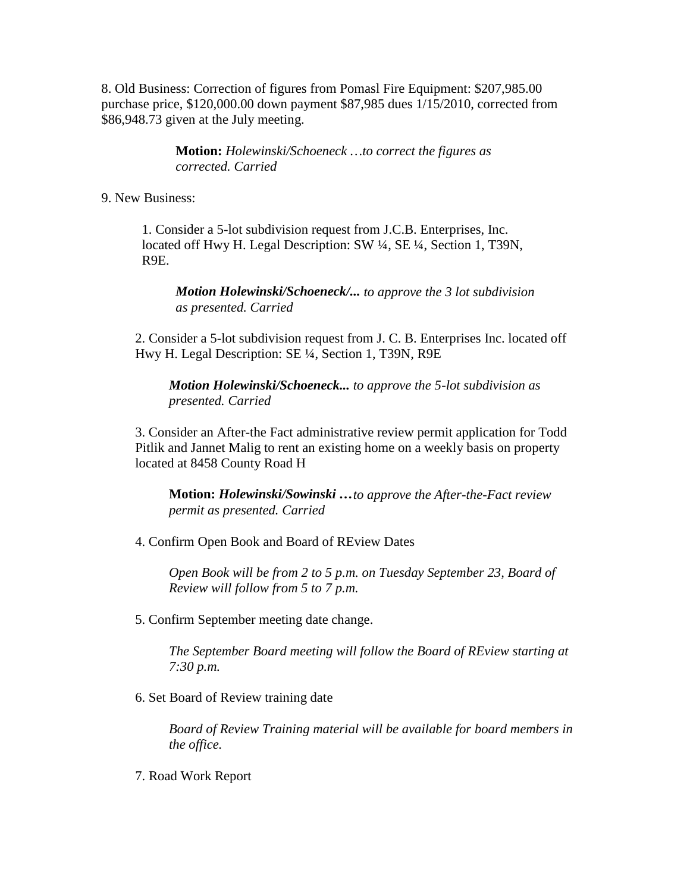8. Old Business: Correction of figures from Pomasl Fire Equipment: \$207,985.00 purchase price, \$120,000.00 down payment \$87,985 dues 1/15/2010, corrected from \$86,948.73 given at the July meeting.

> **Motion:** *Holewinski/Schoeneck …to correct the figures as corrected. Carried*

9. New Business:

1. Consider a 5-lot subdivision request from J.C.B. Enterprises, Inc. located off Hwy H. Legal Description: SW ¼, SE ¼, Section 1, T39N, R9E.

*Motion Holewinski/Schoeneck/... to approve the 3 lot subdivision as presented. Carried*

2. Consider a 5-lot subdivision request from J. C. B. Enterprises Inc. located off Hwy H. Legal Description: SE ¼, Section 1, T39N, R9E

*Motion Holewinski/Schoeneck... to approve the 5-lot subdivision as presented. Carried*

3. Consider an After-the Fact administrative review permit application for Todd Pitlik and Jannet Malig to rent an existing home on a weekly basis on property located at 8458 County Road H

**Motion:** *Holewinski/Sowinski …to approve the After-the-Fact review permit as presented. Carried*

4. Confirm Open Book and Board of REview Dates

*Open Book will be from 2 to 5 p.m. on Tuesday September 23, Board of Review will follow from 5 to 7 p.m.*

5. Confirm September meeting date change.

*The September Board meeting will follow the Board of REview starting at 7:30 p.m.*

6. Set Board of Review training date

*Board of Review Training material will be available for board members in the office.*

7. Road Work Report